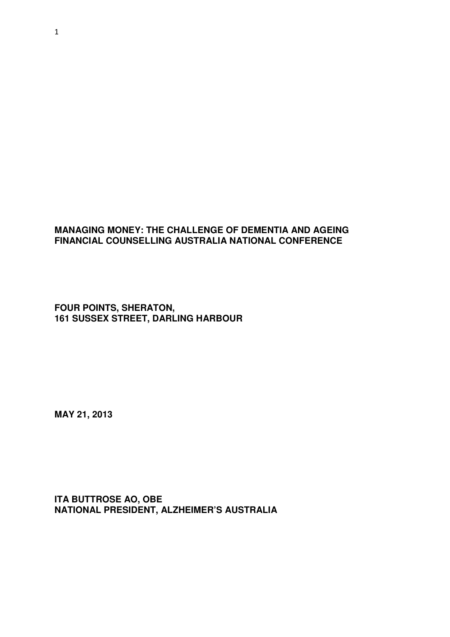## **MANAGING MONEY: THE CHALLENGE OF DEMENTIA AND AGEING FINANCIAL COUNSELLING AUSTRALIA NATIONAL CONFERENCE**

**FOUR POINTS, SHERATON, 161 SUSSEX STREET, DARLING HARBOUR** 

**MAY 21, 2013** 

**ITA BUTTROSE AO, OBE NATIONAL PRESIDENT, ALZHEIMER'S AUSTRALIA**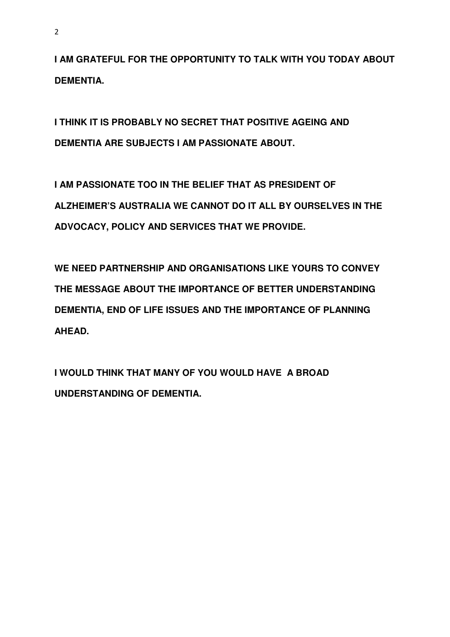**I AM GRATEFUL FOR THE OPPORTUNITY TO TALK WITH YOU TODAY ABOUT DEMENTIA.** 

**I THINK IT IS PROBABLY NO SECRET THAT POSITIVE AGEING AND DEMENTIA ARE SUBJECTS I AM PASSIONATE ABOUT.** 

**I AM PASSIONATE TOO IN THE BELIEF THAT AS PRESIDENT OF ALZHEIMER'S AUSTRALIA WE CANNOT DO IT ALL BY OURSELVES IN THE ADVOCACY, POLICY AND SERVICES THAT WE PROVIDE.** 

**WE NEED PARTNERSHIP AND ORGANISATIONS LIKE YOURS TO CONVEY THE MESSAGE ABOUT THE IMPORTANCE OF BETTER UNDERSTANDING DEMENTIA, END OF LIFE ISSUES AND THE IMPORTANCE OF PLANNING AHEAD.** 

**I WOULD THINK THAT MANY OF YOU WOULD HAVE A BROAD UNDERSTANDING OF DEMENTIA.**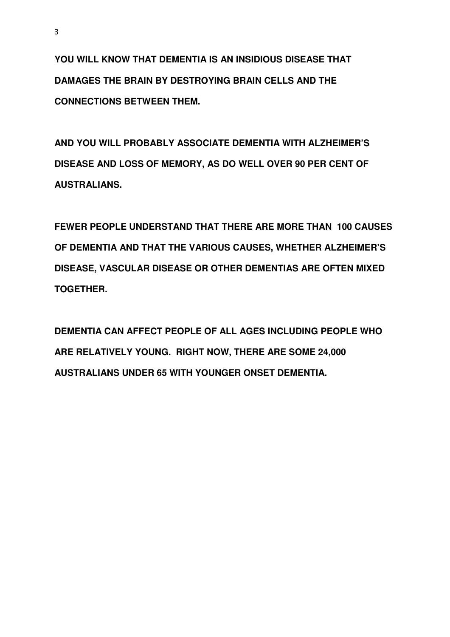**YOU WILL KNOW THAT DEMENTIA IS AN INSIDIOUS DISEASE THAT DAMAGES THE BRAIN BY DESTROYING BRAIN CELLS AND THE CONNECTIONS BETWEEN THEM.** 

**AND YOU WILL PROBABLY ASSOCIATE DEMENTIA WITH ALZHEIMER'S DISEASE AND LOSS OF MEMORY, AS DO WELL OVER 90 PER CENT OF AUSTRALIANS.** 

**FEWER PEOPLE UNDERSTAND THAT THERE ARE MORE THAN 100 CAUSES OF DEMENTIA AND THAT THE VARIOUS CAUSES, WHETHER ALZHEIMER'S DISEASE, VASCULAR DISEASE OR OTHER DEMENTIAS ARE OFTEN MIXED TOGETHER.** 

**DEMENTIA CAN AFFECT PEOPLE OF ALL AGES INCLUDING PEOPLE WHO ARE RELATIVELY YOUNG. RIGHT NOW, THERE ARE SOME 24,000 AUSTRALIANS UNDER 65 WITH YOUNGER ONSET DEMENTIA.**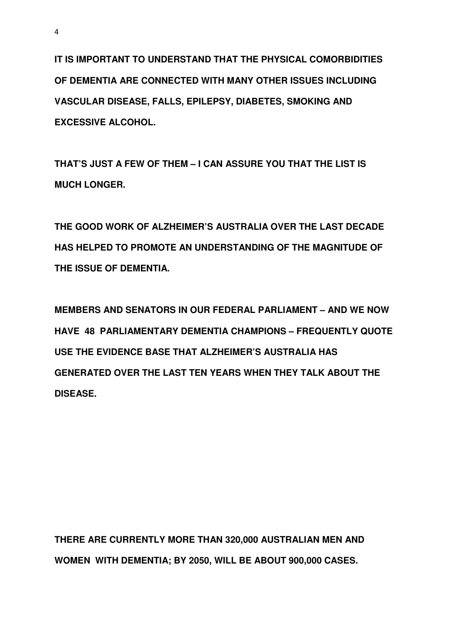**IT IS IMPORTANT TO UNDERSTAND THAT THE PHYSICAL COMORBIDITIES OF DEMENTIA ARE CONNECTED WITH MANY OTHER ISSUES INCLUDING VASCULAR DISEASE, FALLS, EPILEPSY, DIABETES, SMOKING AND EXCESSIVE ALCOHOL.** 

**THAT'S JUST A FEW OF THEM – I CAN ASSURE YOU THAT THE LIST IS MUCH LONGER.** 

**THE GOOD WORK OF ALZHEIMER'S AUSTRALIA OVER THE LAST DECADE HAS HELPED TO PROMOTE AN UNDERSTANDING OF THE MAGNITUDE OF THE ISSUE OF DEMENTIA.** 

**MEMBERS AND SENATORS IN OUR FEDERAL PARLIAMENT – AND WE NOW HAVE 48 PARLIAMENTARY DEMENTIA CHAMPIONS – FREQUENTLY QUOTE USE THE EVIDENCE BASE THAT ALZHEIMER'S AUSTRALIA HAS GENERATED OVER THE LAST TEN YEARS WHEN THEY TALK ABOUT THE DISEASE.** 

**THERE ARE CURRENTLY MORE THAN 320,000 AUSTRALIAN MEN AND WOMEN WITH DEMENTIA; BY 2050, WILL BE ABOUT 900,000 CASES.**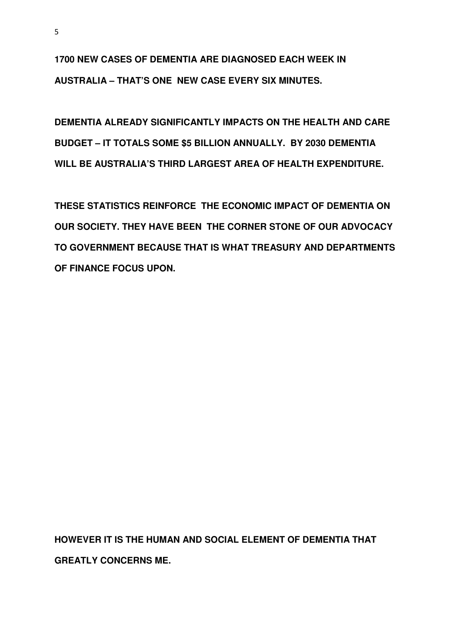**1700 NEW CASES OF DEMENTIA ARE DIAGNOSED EACH WEEK IN AUSTRALIA – THAT'S ONE NEW CASE EVERY SIX MINUTES.**

**DEMENTIA ALREADY SIGNIFICANTLY IMPACTS ON THE HEALTH AND CARE BUDGET – IT TOTALS SOME \$5 BILLION ANNUALLY. BY 2030 DEMENTIA WILL BE AUSTRALIA'S THIRD LARGEST AREA OF HEALTH EXPENDITURE.** 

**THESE STATISTICS REINFORCE THE ECONOMIC IMPACT OF DEMENTIA ON OUR SOCIETY. THEY HAVE BEEN THE CORNER STONE OF OUR ADVOCACY TO GOVERNMENT BECAUSE THAT IS WHAT TREASURY AND DEPARTMENTS OF FINANCE FOCUS UPON.** 

**HOWEVER IT IS THE HUMAN AND SOCIAL ELEMENT OF DEMENTIA THAT GREATLY CONCERNS ME.**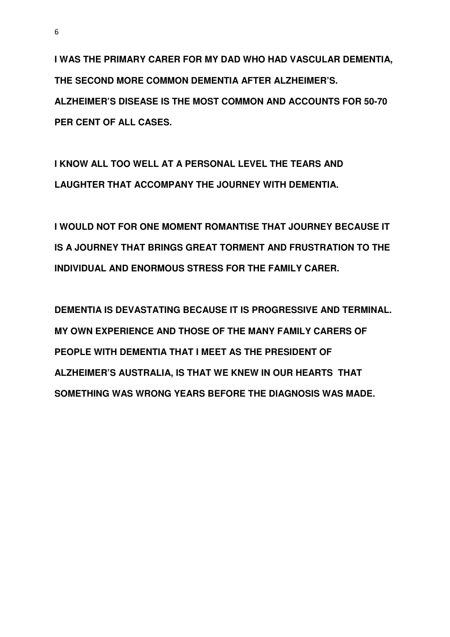**I WAS THE PRIMARY CARER FOR MY DAD WHO HAD VASCULAR DEMENTIA, THE SECOND MORE COMMON DEMENTIA AFTER ALZHEIMER'S. ALZHEIMER'S DISEASE IS THE MOST COMMON AND ACCOUNTS FOR 50-70 PER CENT OF ALL CASES.** 

**I KNOW ALL TOO WELL AT A PERSONAL LEVEL THE TEARS AND LAUGHTER THAT ACCOMPANY THE JOURNEY WITH DEMENTIA.** 

**I WOULD NOT FOR ONE MOMENT ROMANTISE THAT JOURNEY BECAUSE IT IS A JOURNEY THAT BRINGS GREAT TORMENT AND FRUSTRATION TO THE INDIVIDUAL AND ENORMOUS STRESS FOR THE FAMILY CARER.** 

**DEMENTIA IS DEVASTATING BECAUSE IT IS PROGRESSIVE AND TERMINAL. MY OWN EXPERIENCE AND THOSE OF THE MANY FAMILY CARERS OF PEOPLE WITH DEMENTIA THAT I MEET AS THE PRESIDENT OF ALZHEIMER'S AUSTRALIA, IS THAT WE KNEW IN OUR HEARTS THAT SOMETHING WAS WRONG YEARS BEFORE THE DIAGNOSIS WAS MADE.**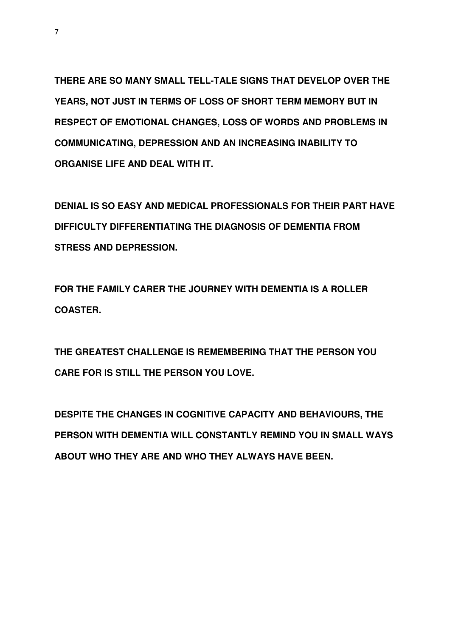**THERE ARE SO MANY SMALL TELL-TALE SIGNS THAT DEVELOP OVER THE YEARS, NOT JUST IN TERMS OF LOSS OF SHORT TERM MEMORY BUT IN RESPECT OF EMOTIONAL CHANGES, LOSS OF WORDS AND PROBLEMS IN COMMUNICATING, DEPRESSION AND AN INCREASING INABILITY TO ORGANISE LIFE AND DEAL WITH IT.** 

**DENIAL IS SO EASY AND MEDICAL PROFESSIONALS FOR THEIR PART HAVE DIFFICULTY DIFFERENTIATING THE DIAGNOSIS OF DEMENTIA FROM STRESS AND DEPRESSION.** 

**FOR THE FAMILY CARER THE JOURNEY WITH DEMENTIA IS A ROLLER COASTER.** 

**THE GREATEST CHALLENGE IS REMEMBERING THAT THE PERSON YOU CARE FOR IS STILL THE PERSON YOU LOVE.** 

**DESPITE THE CHANGES IN COGNITIVE CAPACITY AND BEHAVIOURS, THE PERSON WITH DEMENTIA WILL CONSTANTLY REMIND YOU IN SMALL WAYS ABOUT WHO THEY ARE AND WHO THEY ALWAYS HAVE BEEN.**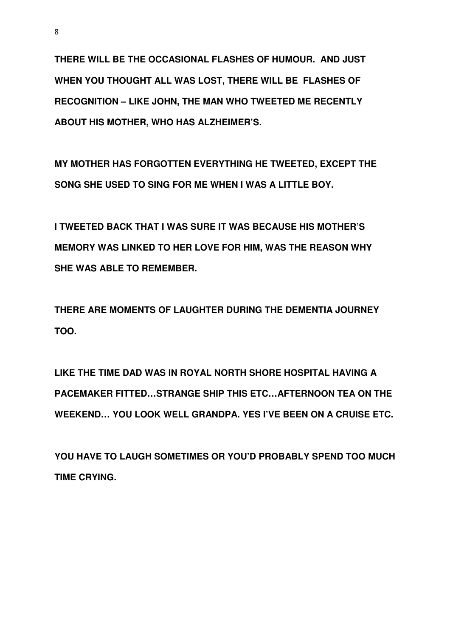**THERE WILL BE THE OCCASIONAL FLASHES OF HUMOUR. AND JUST WHEN YOU THOUGHT ALL WAS LOST, THERE WILL BE FLASHES OF RECOGNITION – LIKE JOHN, THE MAN WHO TWEETED ME RECENTLY ABOUT HIS MOTHER, WHO HAS ALZHEIMER'S.** 

**MY MOTHER HAS FORGOTTEN EVERYTHING HE TWEETED, EXCEPT THE SONG SHE USED TO SING FOR ME WHEN I WAS A LITTLE BOY.** 

**I TWEETED BACK THAT I WAS SURE IT WAS BECAUSE HIS MOTHER'S MEMORY WAS LINKED TO HER LOVE FOR HIM, WAS THE REASON WHY SHE WAS ABLE TO REMEMBER.** 

**THERE ARE MOMENTS OF LAUGHTER DURING THE DEMENTIA JOURNEY TOO.** 

**LIKE THE TIME DAD WAS IN ROYAL NORTH SHORE HOSPITAL HAVING A PACEMAKER FITTED…STRANGE SHIP THIS ETC…AFTERNOON TEA ON THE WEEKEND… YOU LOOK WELL GRANDPA. YES I'VE BEEN ON A CRUISE ETC.** 

**YOU HAVE TO LAUGH SOMETIMES OR YOU'D PROBABLY SPEND TOO MUCH TIME CRYING.**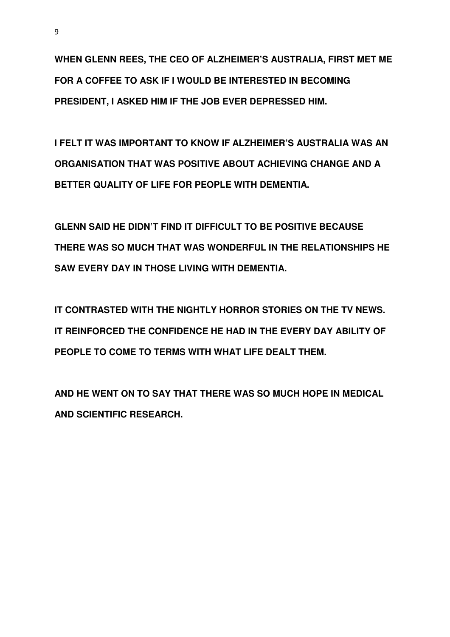**WHEN GLENN REES, THE CEO OF ALZHEIMER'S AUSTRALIA, FIRST MET ME FOR A COFFEE TO ASK IF I WOULD BE INTERESTED IN BECOMING PRESIDENT, I ASKED HIM IF THE JOB EVER DEPRESSED HIM.** 

**I FELT IT WAS IMPORTANT TO KNOW IF ALZHEIMER'S AUSTRALIA WAS AN ORGANISATION THAT WAS POSITIVE ABOUT ACHIEVING CHANGE AND A BETTER QUALITY OF LIFE FOR PEOPLE WITH DEMENTIA.** 

**GLENN SAID HE DIDN'T FIND IT DIFFICULT TO BE POSITIVE BECAUSE THERE WAS SO MUCH THAT WAS WONDERFUL IN THE RELATIONSHIPS HE SAW EVERY DAY IN THOSE LIVING WITH DEMENTIA.** 

**IT CONTRASTED WITH THE NIGHTLY HORROR STORIES ON THE TV NEWS. IT REINFORCED THE CONFIDENCE HE HAD IN THE EVERY DAY ABILITY OF PEOPLE TO COME TO TERMS WITH WHAT LIFE DEALT THEM.** 

**AND HE WENT ON TO SAY THAT THERE WAS SO MUCH HOPE IN MEDICAL AND SCIENTIFIC RESEARCH.**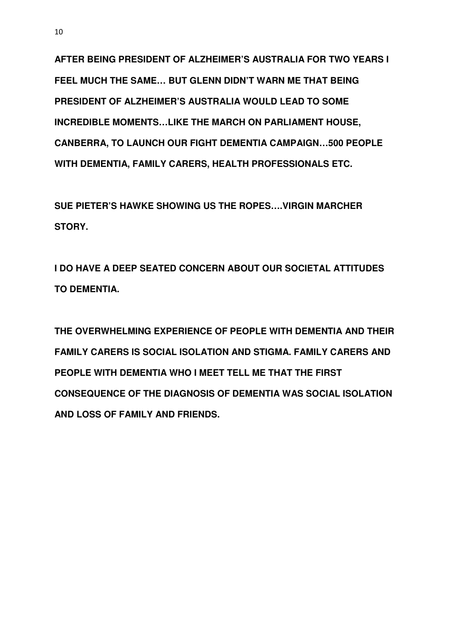**AFTER BEING PRESIDENT OF ALZHEIMER'S AUSTRALIA FOR TWO YEARS I FEEL MUCH THE SAME… BUT GLENN DIDN'T WARN ME THAT BEING PRESIDENT OF ALZHEIMER'S AUSTRALIA WOULD LEAD TO SOME INCREDIBLE MOMENTS…LIKE THE MARCH ON PARLIAMENT HOUSE, CANBERRA, TO LAUNCH OUR FIGHT DEMENTIA CAMPAIGN…500 PEOPLE WITH DEMENTIA, FAMILY CARERS, HEALTH PROFESSIONALS ETC.** 

**SUE PIETER'S HAWKE SHOWING US THE ROPES….VIRGIN MARCHER STORY.** 

**I DO HAVE A DEEP SEATED CONCERN ABOUT OUR SOCIETAL ATTITUDES TO DEMENTIA.** 

**THE OVERWHELMING EXPERIENCE OF PEOPLE WITH DEMENTIA AND THEIR FAMILY CARERS IS SOCIAL ISOLATION AND STIGMA. FAMILY CARERS AND PEOPLE WITH DEMENTIA WHO I MEET TELL ME THAT THE FIRST CONSEQUENCE OF THE DIAGNOSIS OF DEMENTIA WAS SOCIAL ISOLATION AND LOSS OF FAMILY AND FRIENDS.**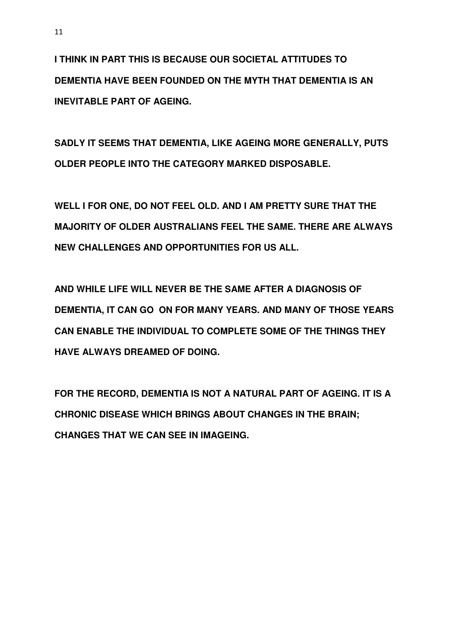**I THINK IN PART THIS IS BECAUSE OUR SOCIETAL ATTITUDES TO DEMENTIA HAVE BEEN FOUNDED ON THE MYTH THAT DEMENTIA IS AN INEVITABLE PART OF AGEING.** 

**SADLY IT SEEMS THAT DEMENTIA, LIKE AGEING MORE GENERALLY, PUTS OLDER PEOPLE INTO THE CATEGORY MARKED DISPOSABLE.** 

**WELL I FOR ONE, DO NOT FEEL OLD. AND I AM PRETTY SURE THAT THE MAJORITY OF OLDER AUSTRALIANS FEEL THE SAME. THERE ARE ALWAYS NEW CHALLENGES AND OPPORTUNITIES FOR US ALL.** 

**AND WHILE LIFE WILL NEVER BE THE SAME AFTER A DIAGNOSIS OF DEMENTIA, IT CAN GO ON FOR MANY YEARS. AND MANY OF THOSE YEARS CAN ENABLE THE INDIVIDUAL TO COMPLETE SOME OF THE THINGS THEY HAVE ALWAYS DREAMED OF DOING.** 

**FOR THE RECORD, DEMENTIA IS NOT A NATURAL PART OF AGEING. IT IS A CHRONIC DISEASE WHICH BRINGS ABOUT CHANGES IN THE BRAIN; CHANGES THAT WE CAN SEE IN IMAGEING.**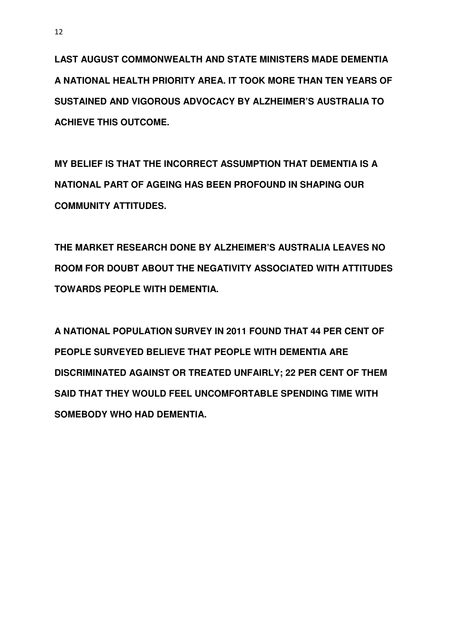**LAST AUGUST COMMONWEALTH AND STATE MINISTERS MADE DEMENTIA A NATIONAL HEALTH PRIORITY AREA. IT TOOK MORE THAN TEN YEARS OF SUSTAINED AND VIGOROUS ADVOCACY BY ALZHEIMER'S AUSTRALIA TO ACHIEVE THIS OUTCOME.** 

**MY BELIEF IS THAT THE INCORRECT ASSUMPTION THAT DEMENTIA IS A NATIONAL PART OF AGEING HAS BEEN PROFOUND IN SHAPING OUR COMMUNITY ATTITUDES.** 

**THE MARKET RESEARCH DONE BY ALZHEIMER'S AUSTRALIA LEAVES NO ROOM FOR DOUBT ABOUT THE NEGATIVITY ASSOCIATED WITH ATTITUDES TOWARDS PEOPLE WITH DEMENTIA.** 

**A NATIONAL POPULATION SURVEY IN 2011 FOUND THAT 44 PER CENT OF PEOPLE SURVEYED BELIEVE THAT PEOPLE WITH DEMENTIA ARE DISCRIMINATED AGAINST OR TREATED UNFAIRLY; 22 PER CENT OF THEM SAID THAT THEY WOULD FEEL UNCOMFORTABLE SPENDING TIME WITH SOMEBODY WHO HAD DEMENTIA.**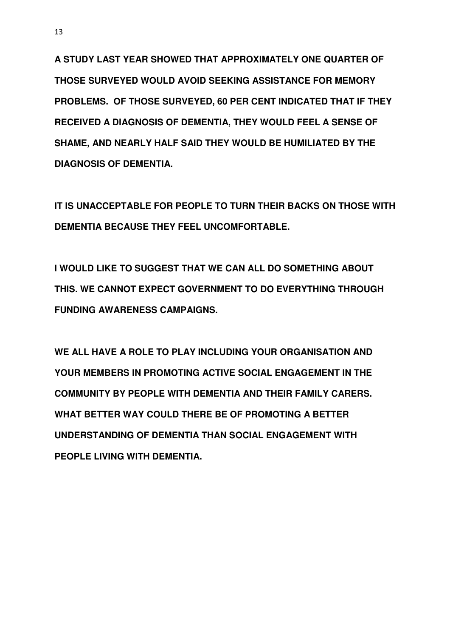**A STUDY LAST YEAR SHOWED THAT APPROXIMATELY ONE QUARTER OF THOSE SURVEYED WOULD AVOID SEEKING ASSISTANCE FOR MEMORY PROBLEMS. OF THOSE SURVEYED, 60 PER CENT INDICATED THAT IF THEY RECEIVED A DIAGNOSIS OF DEMENTIA, THEY WOULD FEEL A SENSE OF SHAME, AND NEARLY HALF SAID THEY WOULD BE HUMILIATED BY THE DIAGNOSIS OF DEMENTIA.** 

**IT IS UNACCEPTABLE FOR PEOPLE TO TURN THEIR BACKS ON THOSE WITH DEMENTIA BECAUSE THEY FEEL UNCOMFORTABLE.** 

**I WOULD LIKE TO SUGGEST THAT WE CAN ALL DO SOMETHING ABOUT THIS. WE CANNOT EXPECT GOVERNMENT TO DO EVERYTHING THROUGH FUNDING AWARENESS CAMPAIGNS.** 

**WE ALL HAVE A ROLE TO PLAY INCLUDING YOUR ORGANISATION AND YOUR MEMBERS IN PROMOTING ACTIVE SOCIAL ENGAGEMENT IN THE COMMUNITY BY PEOPLE WITH DEMENTIA AND THEIR FAMILY CARERS. WHAT BETTER WAY COULD THERE BE OF PROMOTING A BETTER UNDERSTANDING OF DEMENTIA THAN SOCIAL ENGAGEMENT WITH PEOPLE LIVING WITH DEMENTIA.**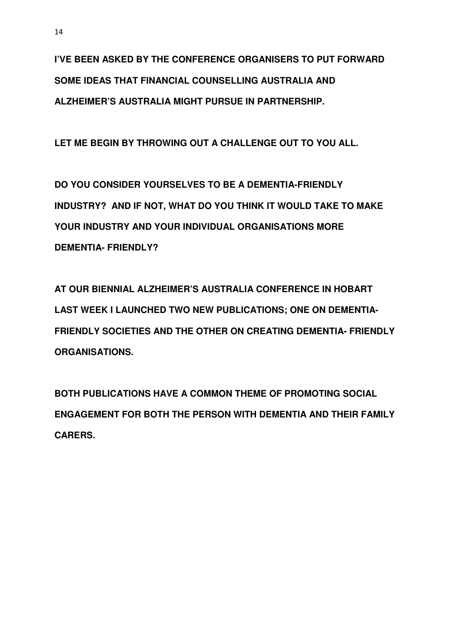**I'VE BEEN ASKED BY THE CONFERENCE ORGANISERS TO PUT FORWARD SOME IDEAS THAT FINANCIAL COUNSELLING AUSTRALIA AND ALZHEIMER'S AUSTRALIA MIGHT PURSUE IN PARTNERSHIP.** 

**LET ME BEGIN BY THROWING OUT A CHALLENGE OUT TO YOU ALL.** 

**DO YOU CONSIDER YOURSELVES TO BE A DEMENTIA-FRIENDLY INDUSTRY? AND IF NOT, WHAT DO YOU THINK IT WOULD TAKE TO MAKE YOUR INDUSTRY AND YOUR INDIVIDUAL ORGANISATIONS MORE DEMENTIA- FRIENDLY?** 

**AT OUR BIENNIAL ALZHEIMER'S AUSTRALIA CONFERENCE IN HOBART LAST WEEK I LAUNCHED TWO NEW PUBLICATIONS; ONE ON DEMENTIA-FRIENDLY SOCIETIES AND THE OTHER ON CREATING DEMENTIA- FRIENDLY ORGANISATIONS.** 

**BOTH PUBLICATIONS HAVE A COMMON THEME OF PROMOTING SOCIAL ENGAGEMENT FOR BOTH THE PERSON WITH DEMENTIA AND THEIR FAMILY CARERS.**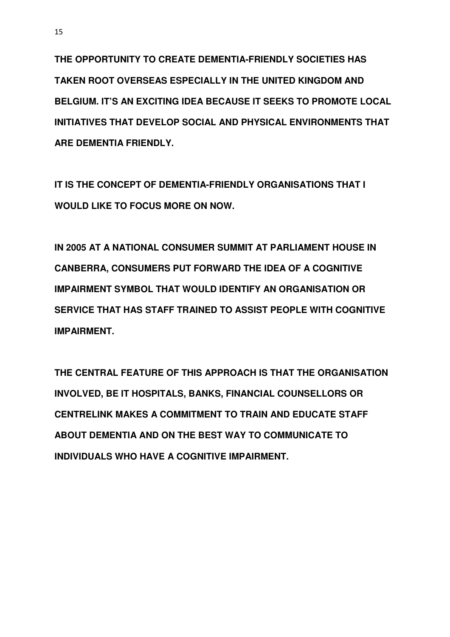**THE OPPORTUNITY TO CREATE DEMENTIA-FRIENDLY SOCIETIES HAS TAKEN ROOT OVERSEAS ESPECIALLY IN THE UNITED KINGDOM AND BELGIUM. IT'S AN EXCITING IDEA BECAUSE IT SEEKS TO PROMOTE LOCAL INITIATIVES THAT DEVELOP SOCIAL AND PHYSICAL ENVIRONMENTS THAT ARE DEMENTIA FRIENDLY.** 

**IT IS THE CONCEPT OF DEMENTIA-FRIENDLY ORGANISATIONS THAT I WOULD LIKE TO FOCUS MORE ON NOW.** 

**IN 2005 AT A NATIONAL CONSUMER SUMMIT AT PARLIAMENT HOUSE IN CANBERRA, CONSUMERS PUT FORWARD THE IDEA OF A COGNITIVE IMPAIRMENT SYMBOL THAT WOULD IDENTIFY AN ORGANISATION OR SERVICE THAT HAS STAFF TRAINED TO ASSIST PEOPLE WITH COGNITIVE IMPAIRMENT.** 

**THE CENTRAL FEATURE OF THIS APPROACH IS THAT THE ORGANISATION INVOLVED, BE IT HOSPITALS, BANKS, FINANCIAL COUNSELLORS OR CENTRELINK MAKES A COMMITMENT TO TRAIN AND EDUCATE STAFF ABOUT DEMENTIA AND ON THE BEST WAY TO COMMUNICATE TO INDIVIDUALS WHO HAVE A COGNITIVE IMPAIRMENT.**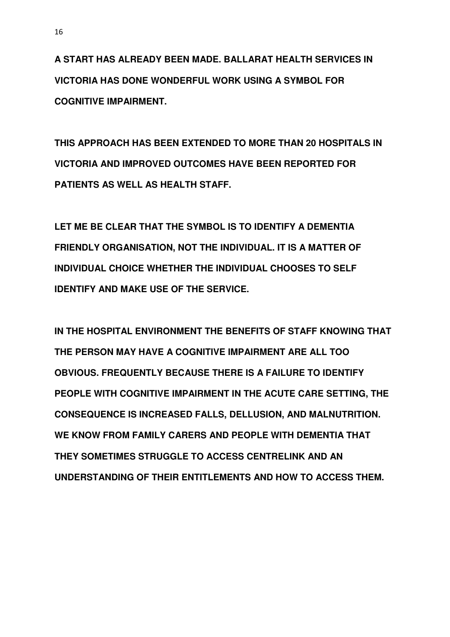**A START HAS ALREADY BEEN MADE. BALLARAT HEALTH SERVICES IN VICTORIA HAS DONE WONDERFUL WORK USING A SYMBOL FOR COGNITIVE IMPAIRMENT.** 

**THIS APPROACH HAS BEEN EXTENDED TO MORE THAN 20 HOSPITALS IN VICTORIA AND IMPROVED OUTCOMES HAVE BEEN REPORTED FOR PATIENTS AS WELL AS HEALTH STAFF.** 

**LET ME BE CLEAR THAT THE SYMBOL IS TO IDENTIFY A DEMENTIA FRIENDLY ORGANISATION, NOT THE INDIVIDUAL. IT IS A MATTER OF INDIVIDUAL CHOICE WHETHER THE INDIVIDUAL CHOOSES TO SELF IDENTIFY AND MAKE USE OF THE SERVICE.** 

**IN THE HOSPITAL ENVIRONMENT THE BENEFITS OF STAFF KNOWING THAT THE PERSON MAY HAVE A COGNITIVE IMPAIRMENT ARE ALL TOO OBVIOUS. FREQUENTLY BECAUSE THERE IS A FAILURE TO IDENTIFY PEOPLE WITH COGNITIVE IMPAIRMENT IN THE ACUTE CARE SETTING, THE CONSEQUENCE IS INCREASED FALLS, DELLUSION, AND MALNUTRITION. WE KNOW FROM FAMILY CARERS AND PEOPLE WITH DEMENTIA THAT THEY SOMETIMES STRUGGLE TO ACCESS CENTRELINK AND AN UNDERSTANDING OF THEIR ENTITLEMENTS AND HOW TO ACCESS THEM.**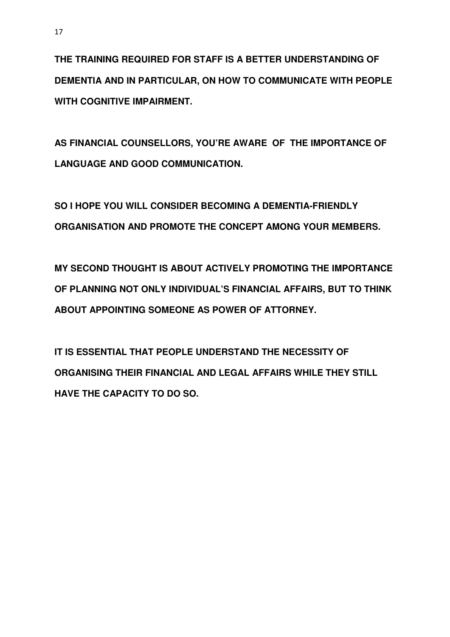**THE TRAINING REQUIRED FOR STAFF IS A BETTER UNDERSTANDING OF DEMENTIA AND IN PARTICULAR, ON HOW TO COMMUNICATE WITH PEOPLE WITH COGNITIVE IMPAIRMENT.** 

**AS FINANCIAL COUNSELLORS, YOU'RE AWARE OF THE IMPORTANCE OF LANGUAGE AND GOOD COMMUNICATION.** 

**SO I HOPE YOU WILL CONSIDER BECOMING A DEMENTIA-FRIENDLY ORGANISATION AND PROMOTE THE CONCEPT AMONG YOUR MEMBERS.** 

**MY SECOND THOUGHT IS ABOUT ACTIVELY PROMOTING THE IMPORTANCE OF PLANNING NOT ONLY INDIVIDUAL'S FINANCIAL AFFAIRS, BUT TO THINK ABOUT APPOINTING SOMEONE AS POWER OF ATTORNEY.** 

**IT IS ESSENTIAL THAT PEOPLE UNDERSTAND THE NECESSITY OF ORGANISING THEIR FINANCIAL AND LEGAL AFFAIRS WHILE THEY STILL HAVE THE CAPACITY TO DO SO.**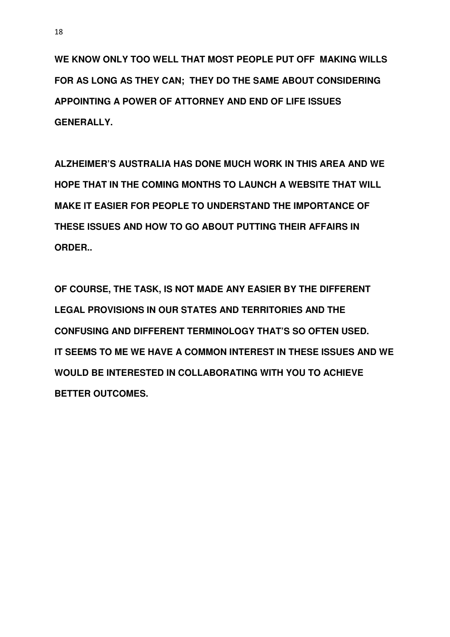**WE KNOW ONLY TOO WELL THAT MOST PEOPLE PUT OFF MAKING WILLS FOR AS LONG AS THEY CAN; THEY DO THE SAME ABOUT CONSIDERING APPOINTING A POWER OF ATTORNEY AND END OF LIFE ISSUES GENERALLY.** 

**ALZHEIMER'S AUSTRALIA HAS DONE MUCH WORK IN THIS AREA AND WE HOPE THAT IN THE COMING MONTHS TO LAUNCH A WEBSITE THAT WILL MAKE IT EASIER FOR PEOPLE TO UNDERSTAND THE IMPORTANCE OF THESE ISSUES AND HOW TO GO ABOUT PUTTING THEIR AFFAIRS IN ORDER..** 

**OF COURSE, THE TASK, IS NOT MADE ANY EASIER BY THE DIFFERENT LEGAL PROVISIONS IN OUR STATES AND TERRITORIES AND THE CONFUSING AND DIFFERENT TERMINOLOGY THAT'S SO OFTEN USED. IT SEEMS TO ME WE HAVE A COMMON INTEREST IN THESE ISSUES AND WE WOULD BE INTERESTED IN COLLABORATING WITH YOU TO ACHIEVE BETTER OUTCOMES.**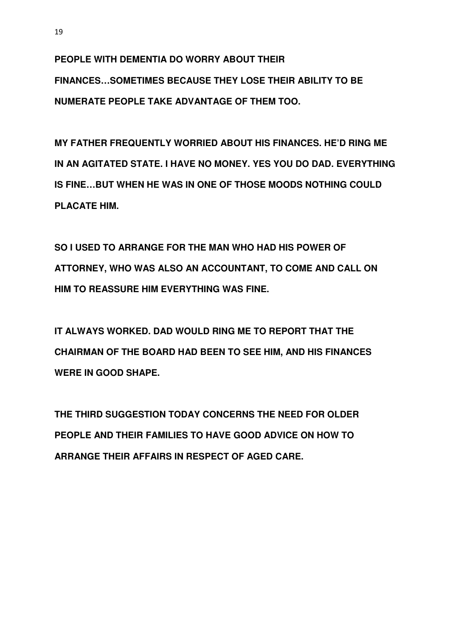**PEOPLE WITH DEMENTIA DO WORRY ABOUT THEIR FINANCES…SOMETIMES BECAUSE THEY LOSE THEIR ABILITY TO BE NUMERATE PEOPLE TAKE ADVANTAGE OF THEM TOO.** 

**MY FATHER FREQUENTLY WORRIED ABOUT HIS FINANCES. HE'D RING ME IN AN AGITATED STATE. I HAVE NO MONEY. YES YOU DO DAD. EVERYTHING IS FINE…BUT WHEN HE WAS IN ONE OF THOSE MOODS NOTHING COULD PLACATE HIM.** 

**SO I USED TO ARRANGE FOR THE MAN WHO HAD HIS POWER OF ATTORNEY, WHO WAS ALSO AN ACCOUNTANT, TO COME AND CALL ON HIM TO REASSURE HIM EVERYTHING WAS FINE.** 

**IT ALWAYS WORKED. DAD WOULD RING ME TO REPORT THAT THE CHAIRMAN OF THE BOARD HAD BEEN TO SEE HIM, AND HIS FINANCES WERE IN GOOD SHAPE.** 

**THE THIRD SUGGESTION TODAY CONCERNS THE NEED FOR OLDER PEOPLE AND THEIR FAMILIES TO HAVE GOOD ADVICE ON HOW TO ARRANGE THEIR AFFAIRS IN RESPECT OF AGED CARE.**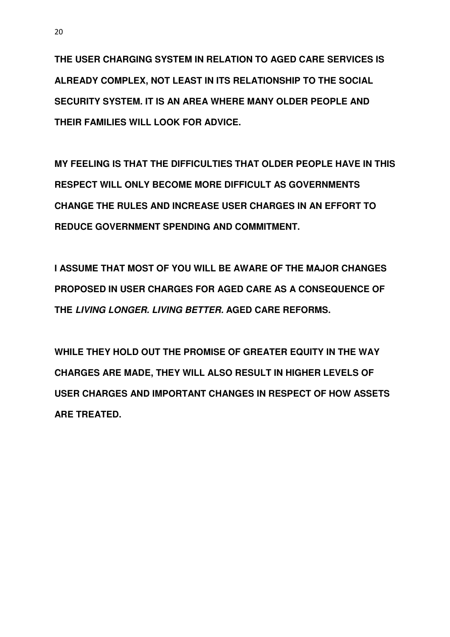**THE USER CHARGING SYSTEM IN RELATION TO AGED CARE SERVICES IS ALREADY COMPLEX, NOT LEAST IN ITS RELATIONSHIP TO THE SOCIAL SECURITY SYSTEM. IT IS AN AREA WHERE MANY OLDER PEOPLE AND THEIR FAMILIES WILL LOOK FOR ADVICE.** 

**MY FEELING IS THAT THE DIFFICULTIES THAT OLDER PEOPLE HAVE IN THIS RESPECT WILL ONLY BECOME MORE DIFFICULT AS GOVERNMENTS CHANGE THE RULES AND INCREASE USER CHARGES IN AN EFFORT TO REDUCE GOVERNMENT SPENDING AND COMMITMENT.** 

**I ASSUME THAT MOST OF YOU WILL BE AWARE OF THE MAJOR CHANGES PROPOSED IN USER CHARGES FOR AGED CARE AS A CONSEQUENCE OF THE LIVING LONGER. LIVING BETTER. AGED CARE REFORMS.** 

**WHILE THEY HOLD OUT THE PROMISE OF GREATER EQUITY IN THE WAY CHARGES ARE MADE, THEY WILL ALSO RESULT IN HIGHER LEVELS OF USER CHARGES AND IMPORTANT CHANGES IN RESPECT OF HOW ASSETS ARE TREATED.**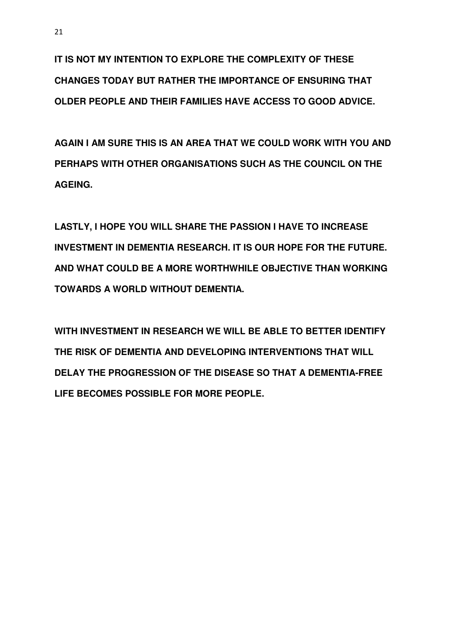**IT IS NOT MY INTENTION TO EXPLORE THE COMPLEXITY OF THESE CHANGES TODAY BUT RATHER THE IMPORTANCE OF ENSURING THAT OLDER PEOPLE AND THEIR FAMILIES HAVE ACCESS TO GOOD ADVICE.** 

**AGAIN I AM SURE THIS IS AN AREA THAT WE COULD WORK WITH YOU AND PERHAPS WITH OTHER ORGANISATIONS SUCH AS THE COUNCIL ON THE AGEING.** 

**LASTLY, I HOPE YOU WILL SHARE THE PASSION I HAVE TO INCREASE INVESTMENT IN DEMENTIA RESEARCH. IT IS OUR HOPE FOR THE FUTURE. AND WHAT COULD BE A MORE WORTHWHILE OBJECTIVE THAN WORKING TOWARDS A WORLD WITHOUT DEMENTIA.** 

**WITH INVESTMENT IN RESEARCH WE WILL BE ABLE TO BETTER IDENTIFY THE RISK OF DEMENTIA AND DEVELOPING INTERVENTIONS THAT WILL DELAY THE PROGRESSION OF THE DISEASE SO THAT A DEMENTIA-FREE LIFE BECOMES POSSIBLE FOR MORE PEOPLE.**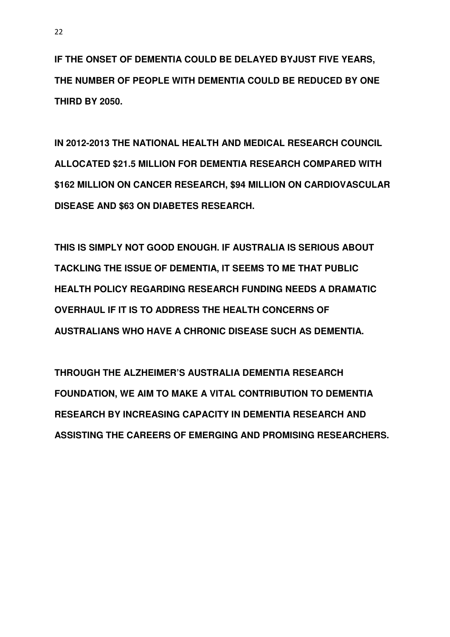**IF THE ONSET OF DEMENTIA COULD BE DELAYED BYJUST FIVE YEARS, THE NUMBER OF PEOPLE WITH DEMENTIA COULD BE REDUCED BY ONE THIRD BY 2050.** 

**IN 2012-2013 THE NATIONAL HEALTH AND MEDICAL RESEARCH COUNCIL ALLOCATED \$21.5 MILLION FOR DEMENTIA RESEARCH COMPARED WITH \$162 MILLION ON CANCER RESEARCH, \$94 MILLION ON CARDIOVASCULAR DISEASE AND \$63 ON DIABETES RESEARCH.** 

**THIS IS SIMPLY NOT GOOD ENOUGH. IF AUSTRALIA IS SERIOUS ABOUT TACKLING THE ISSUE OF DEMENTIA, IT SEEMS TO ME THAT PUBLIC HEALTH POLICY REGARDING RESEARCH FUNDING NEEDS A DRAMATIC OVERHAUL IF IT IS TO ADDRESS THE HEALTH CONCERNS OF AUSTRALIANS WHO HAVE A CHRONIC DISEASE SUCH AS DEMENTIA.** 

**THROUGH THE ALZHEIMER'S AUSTRALIA DEMENTIA RESEARCH FOUNDATION, WE AIM TO MAKE A VITAL CONTRIBUTION TO DEMENTIA RESEARCH BY INCREASING CAPACITY IN DEMENTIA RESEARCH AND ASSISTING THE CAREERS OF EMERGING AND PROMISING RESEARCHERS.**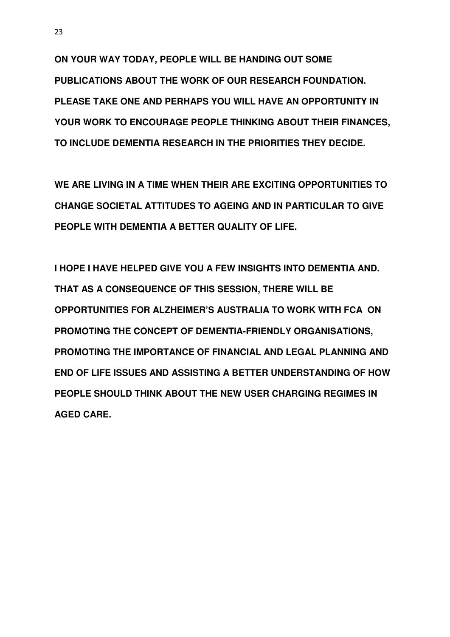**ON YOUR WAY TODAY, PEOPLE WILL BE HANDING OUT SOME PUBLICATIONS ABOUT THE WORK OF OUR RESEARCH FOUNDATION. PLEASE TAKE ONE AND PERHAPS YOU WILL HAVE AN OPPORTUNITY IN YOUR WORK TO ENCOURAGE PEOPLE THINKING ABOUT THEIR FINANCES, TO INCLUDE DEMENTIA RESEARCH IN THE PRIORITIES THEY DECIDE.** 

**WE ARE LIVING IN A TIME WHEN THEIR ARE EXCITING OPPORTUNITIES TO CHANGE SOCIETAL ATTITUDES TO AGEING AND IN PARTICULAR TO GIVE PEOPLE WITH DEMENTIA A BETTER QUALITY OF LIFE.** 

**I HOPE I HAVE HELPED GIVE YOU A FEW INSIGHTS INTO DEMENTIA AND. THAT AS A CONSEQUENCE OF THIS SESSION, THERE WILL BE OPPORTUNITIES FOR ALZHEIMER'S AUSTRALIA TO WORK WITH FCA ON PROMOTING THE CONCEPT OF DEMENTIA-FRIENDLY ORGANISATIONS, PROMOTING THE IMPORTANCE OF FINANCIAL AND LEGAL PLANNING AND END OF LIFE ISSUES AND ASSISTING A BETTER UNDERSTANDING OF HOW PEOPLE SHOULD THINK ABOUT THE NEW USER CHARGING REGIMES IN AGED CARE.**